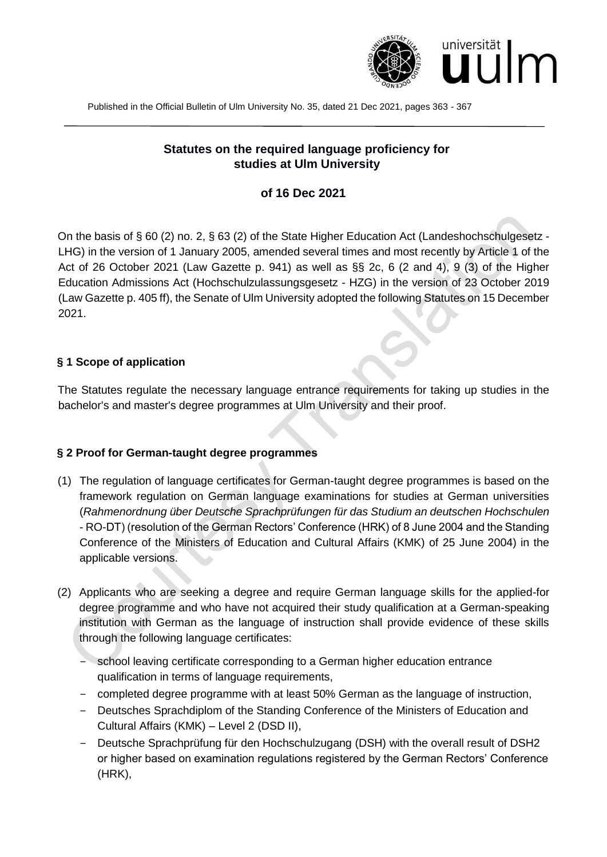

Published in the Official Bulletin of Ulm University No. 35, dated 21 Dec 2021, pages 363 - 367

# **Statutes on the required language proficiency for studies at Ulm University**

#### **of 16 Dec 2021**

On the basis of § 60 (2) no. 2, § 63 (2) of the State Higher Education Act (Landeshochschulgesetz - LHG) in the version of 1 January 2005, amended several times and most recently by Article 1 of the Act of 26 October 2021 (Law Gazette p. 941) as well as §§ 2c, 6 (2 and 4), 9 (3) of the Higher Education Admissions Act (Hochschulzulassungsgesetz - HZG) in the version of 23 October 2019 (Law Gazette p. 405 ff), the Senate of Ulm University adopted the following Statutes on 15 December 2021.

#### **§ 1 Scope of application**

The Statutes regulate the necessary language entrance requirements for taking up studies in the bachelor's and master's degree programmes at Ulm University and their proof.

#### **§ 2 Proof for German-taught degree programmes**

- (1) The regulation of language certificates for German-taught degree programmes is based on the framework regulation on German language examinations for studies at German universities (*Rahmenordnung über Deutsche Sprachprüfungen für das Studium an deutschen Hochschulen* - RO-DT) (resolution of the German Rectors' Conference (HRK) of 8 June 2004 and the Standing Conference of the Ministers of Education and Cultural Affairs (KMK) of 25 June 2004) in the applicable versions.
- (2) Applicants who are seeking a degree and require German language skills for the applied-for degree programme and who have not acquired their study qualification at a German-speaking institution with German as the language of instruction shall provide evidence of these skills through the following language certificates:
	- − school leaving certificate corresponding to a German higher education entrance qualification in terms of language requirements,
	- − completed degree programme with at least 50% German as the language of instruction,
	- − Deutsches Sprachdiplom of the Standing Conference of the Ministers of Education and Cultural Affairs (KMK) – Level 2 (DSD II),
	- − Deutsche Sprachprüfung für den Hochschulzugang (DSH) with the overall result of DSH2 or higher based on examination regulations registered by the German Rectors' Conference (HRK),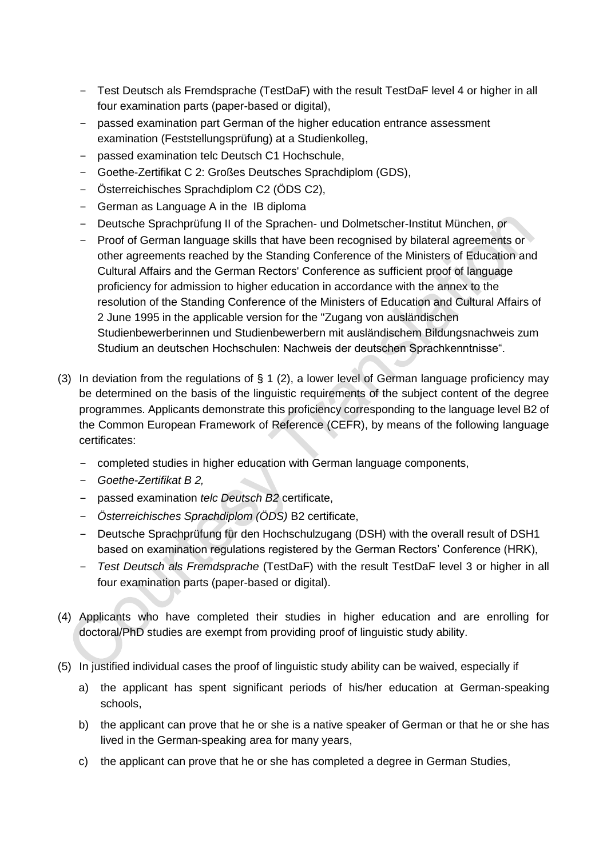- − Test Deutsch als Fremdsprache (TestDaF) with the result TestDaF level 4 or higher in all four examination parts (paper-based or digital),
- − passed examination part German of the higher education entrance assessment examination (Feststellungsprüfung) at a Studienkolleg,
- − passed examination telc Deutsch C1 Hochschule,
- − Goethe-Zertifikat C 2: Großes Deutsches Sprachdiplom (GDS),
- − Österreichisches Sprachdiplom C2 (ÖDS C2),
- − German as Language A in the IB diploma
- − Deutsche Sprachprüfung II of the Sprachen- und Dolmetscher-Institut München, or
- − Proof of German language skills that have been recognised by bilateral agreements or other agreements reached by the Standing Conference of the Ministers of Education and Cultural Affairs and the German Rectors' Conference as sufficient proof of language proficiency for admission to higher education in accordance with the annex to the resolution of the Standing Conference of the Ministers of Education and Cultural Affairs of 2 June 1995 in the applicable version for the "Zugang von ausländischen Studienbewerberinnen und Studienbewerbern mit ausländischem Bildungsnachweis zum Studium an deutschen Hochschulen: Nachweis der deutschen Sprachkenntnisse".
- (3) In deviation from the regulations of  $\S$  1 (2), a lower level of German language proficiency may be determined on the basis of the linguistic requirements of the subject content of the degree programmes. Applicants demonstrate this proficiency corresponding to the language level B2 of the Common European Framework of Reference (CEFR), by means of the following language certificates:
	- − completed studies in higher education with German language components,
	- − *Goethe-Zertifikat B 2,*
	- − passed examination *telc Deutsch B2* certificate,
	- − *Österreichisches Sprachdiplom (ÖDS)* B2 certificate,
	- − Deutsche Sprachprüfung für den Hochschulzugang (DSH) with the overall result of DSH1 based on examination regulations registered by the German Rectors' Conference (HRK),
	- − *Test Deutsch als Fremdsprache* (TestDaF) with the result TestDaF level 3 or higher in all four examination parts (paper-based or digital).
- (4) Applicants who have completed their studies in higher education and are enrolling for doctoral/PhD studies are exempt from providing proof of linguistic study ability.
- (5) In justified individual cases the proof of linguistic study ability can be waived, especially if
	- a) the applicant has spent significant periods of his/her education at German-speaking schools,
	- b) the applicant can prove that he or she is a native speaker of German or that he or she has lived in the German-speaking area for many years,
	- c) the applicant can prove that he or she has completed a degree in German Studies,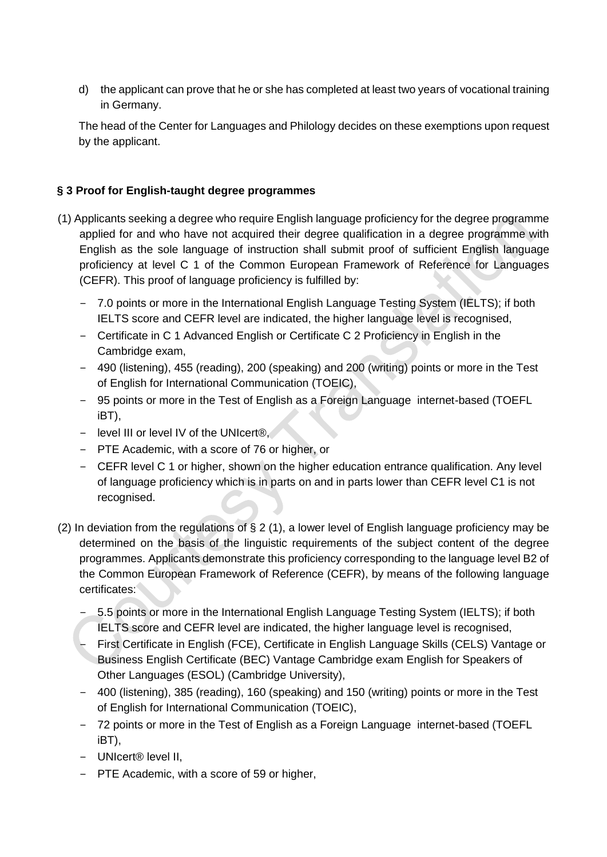d) the applicant can prove that he or she has completed at least two years of vocational training in Germany.

The head of the Center for Languages and Philology decides on these exemptions upon request by the applicant.

## **§ 3 Proof for English-taught degree programmes**

- (1) Applicants seeking a degree who require English language proficiency for the degree programme applied for and who have not acquired their degree qualification in a degree programme with English as the sole language of instruction shall submit proof of sufficient English language proficiency at level C 1 of the Common European Framework of Reference for Languages (CEFR). This proof of language proficiency is fulfilled by:
	- − 7.0 points or more in the International English Language Testing System (IELTS); if both IELTS score and CEFR level are indicated, the higher language level is recognised,
	- − Certificate in C 1 Advanced English or Certificate C 2 Proficiency in English in the Cambridge exam,
	- − 490 (listening), 455 (reading), 200 (speaking) and 200 (writing) points or more in the Test of English for International Communication (TOEIC),
	- − 95 points or more in the Test of English as a Foreign Language internet-based (TOEFL iBT),
	- − level III or level IV of the UNIcert®,
	- − PTE Academic, with a score of 76 or higher, or
	- − CEFR level C 1 or higher, shown on the higher education entrance qualification. Any level of language proficiency which is in parts on and in parts lower than CEFR level C1 is not recognised.
- (2) In deviation from the regulations of § 2 (1), a lower level of English language proficiency may be determined on the basis of the linguistic requirements of the subject content of the degree programmes. Applicants demonstrate this proficiency corresponding to the language level B2 of the Common European Framework of Reference (CEFR), by means of the following language certificates:
	- − 5.5 points or more in the International English Language Testing System (IELTS); if both IELTS score and CEFR level are indicated, the higher language level is recognised,
	- − First Certificate in English (FCE), Certificate in English Language Skills (CELS) Vantage or Business English Certificate (BEC) Vantage Cambridge exam English for Speakers of Other Languages (ESOL) (Cambridge University),
	- − 400 (listening), 385 (reading), 160 (speaking) and 150 (writing) points or more in the Test of English for International Communication (TOEIC),
	- − 72 points or more in the Test of English as a Foreign Language internet-based (TOEFL iBT),
	- − UNIcert® level II,
	- − PTE Academic, with a score of 59 or higher,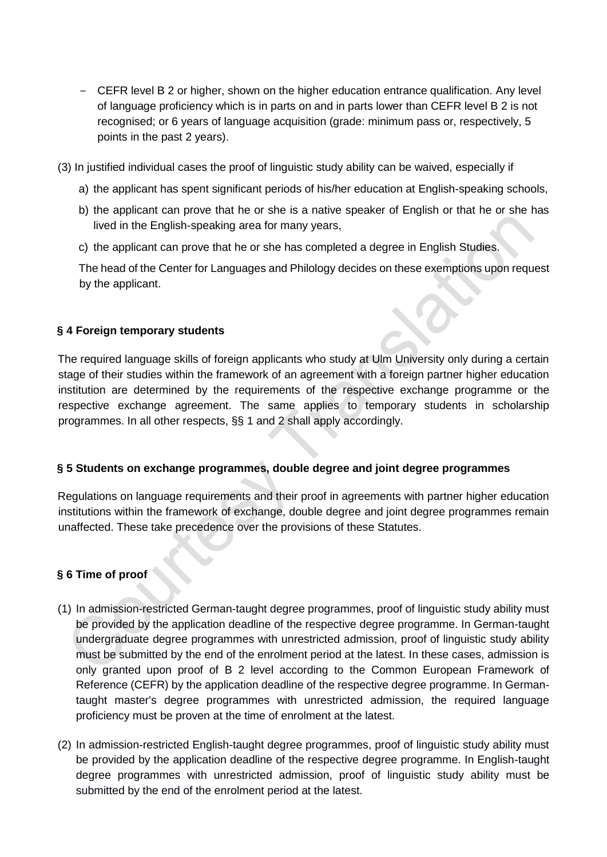− CEFR level B 2 or higher, shown on the higher education entrance qualification. Any level of language proficiency which is in parts on and in parts lower than CEFR level B 2 is not recognised; or 6 years of language acquisition (grade: minimum pass or, respectively, 5 points in the past 2 years).

(3) In justified individual cases the proof of linguistic study ability can be waived, especially if

- a) the applicant has spent significant periods of his/her education at English-speaking schools,
- b) the applicant can prove that he or she is a native speaker of English or that he or she has lived in the English-speaking area for many years,
- c) the applicant can prove that he or she has completed a degree in English Studies.

The head of the Center for Languages and Philology decides on these exemptions upon request by the applicant.

## **§ 4 Foreign temporary students**

The required language skills of foreign applicants who study at Ulm University only during a certain stage of their studies within the framework of an agreement with a foreign partner higher education institution are determined by the requirements of the respective exchange programme or the respective exchange agreement. The same applies to temporary students in scholarship programmes. In all other respects, §§ 1 and 2 shall apply accordingly.

## **§ 5 Students on exchange programmes, double degree and joint degree programmes**

Regulations on language requirements and their proof in agreements with partner higher education institutions within the framework of exchange, double degree and joint degree programmes remain unaffected. These take precedence over the provisions of these Statutes.

## **§ 6 Time of proof**

- (1) In admission-restricted German-taught degree programmes, proof of linguistic study ability must be provided by the application deadline of the respective degree programme. In German-taught undergraduate degree programmes with unrestricted admission, proof of linguistic study ability must be submitted by the end of the enrolment period at the latest. In these cases, admission is only granted upon proof of B 2 level according to the Common European Framework of Reference (CEFR) by the application deadline of the respective degree programme. In Germantaught master's degree programmes with unrestricted admission, the required language proficiency must be proven at the time of enrolment at the latest.
- (2) In admission-restricted English-taught degree programmes, proof of linguistic study ability must be provided by the application deadline of the respective degree programme. In English-taught degree programmes with unrestricted admission, proof of linguistic study ability must be submitted by the end of the enrolment period at the latest.